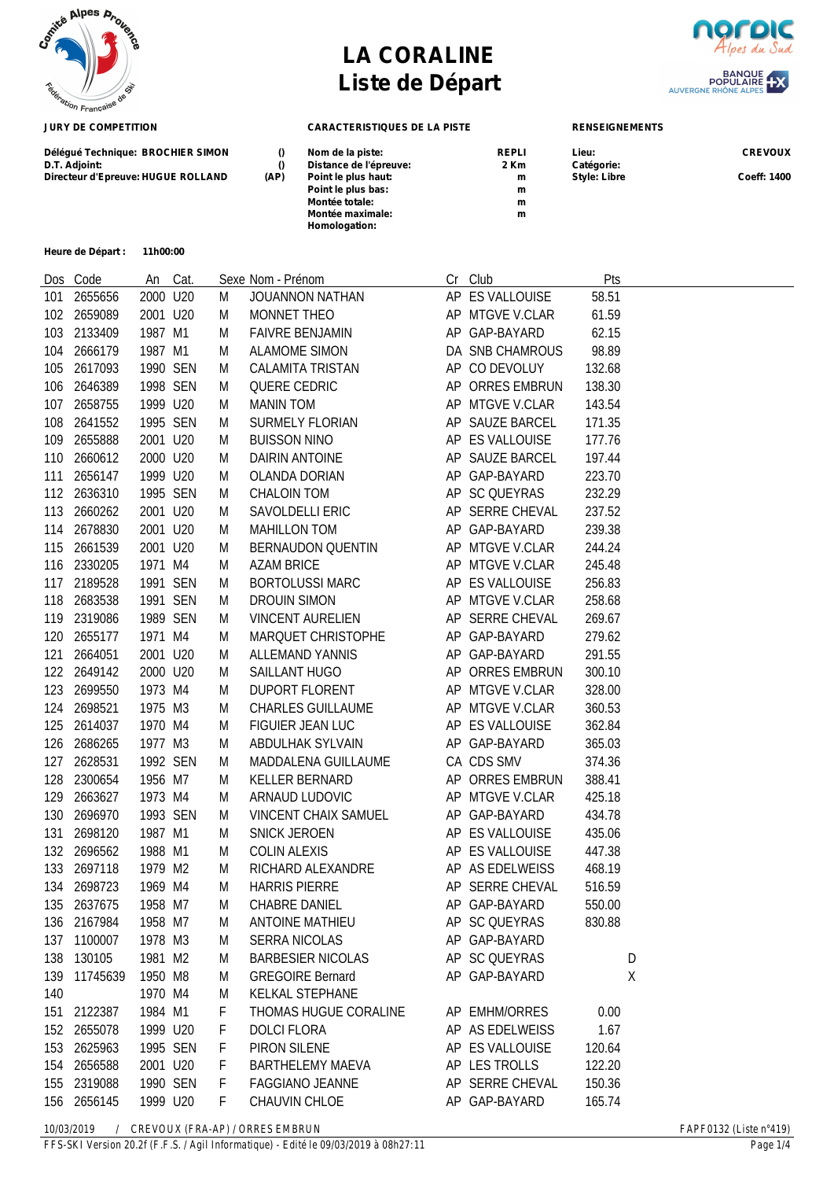

**Heure de Départ : 11h00:00**

## **LA CORALINE Liste de Départ**



BANQUE<br>POPULAIRE<br>AUVERGNE RHÔNE ALPES



| Délégué Technique: BROCHIER SIMON  |      | Nom de la piste:        | <b>REPLI</b> | Lieu:               | <b>CREVOUX</b> |
|------------------------------------|------|-------------------------|--------------|---------------------|----------------|
| D.T. Adjoint:                      |      | Distance de l'épreuve:  | 2 Km         | Catégorie:          |                |
| Directeur d'Epreuve: HUGUE ROLLAND | (AP) | Point le plus haut:     | m            | <b>Style: Libre</b> | Coeff: 1400    |
|                                    |      | Point le plus bas:      | m            |                     |                |
|                                    |      | Montée totale:          | m            |                     |                |
|                                    |      | <b>Montée maximale:</b> | m            |                     |                |
|                                    |      | Homologation:           |              |                     |                |
|                                    |      |                         |              |                     |                |

|     | Dos Code    |          | An Cat. |   | Sexe Nom - Prénom           | Cr Club         | Pts    |   |
|-----|-------------|----------|---------|---|-----------------------------|-----------------|--------|---|
| 101 | 2655656     | 2000 U20 |         | M | JOUANNON NATHAN             | AP ES VALLOUISE | 58.51  |   |
|     | 102 2659089 | 2001 U20 |         | M | MONNET THEO                 | AP MTGVE V.CLAR | 61.59  |   |
|     | 103 2133409 | 1987 M1  |         | M | <b>FAIVRE BENJAMIN</b>      | AP GAP-BAYARD   | 62.15  |   |
| 104 | 2666179     | 1987 M1  |         | M | <b>ALAMOME SIMON</b>        | DA SNB CHAMROUS | 98.89  |   |
| 105 | 2617093     | 1990 SEN |         | M | <b>CALAMITA TRISTAN</b>     | AP CO DEVOLUY   | 132.68 |   |
| 106 | 2646389     | 1998 SEN |         | M | QUERE CEDRIC                | AP ORRES EMBRUN | 138.30 |   |
| 107 | 2658755     | 1999 U20 |         | M | MANIN TOM                   | AP MTGVE V.CLAR | 143.54 |   |
|     | 108 2641552 | 1995 SEN |         | M | <b>SURMELY FLORIAN</b>      | AP SAUZE BARCEL | 171.35 |   |
| 109 | 2655888     | 2001 U20 |         | M | <b>BUISSON NINO</b>         | AP ES VALLOUISE | 177.76 |   |
| 110 | 2660612     | 2000 U20 |         | M | DAIRIN ANTOINE              | AP SAUZE BARCEL | 197.44 |   |
| 111 | 2656147     | 1999 U20 |         | M | <b>OLANDA DORIAN</b>        | AP GAP-BAYARD   | 223.70 |   |
|     | 112 2636310 | 1995 SEN |         | M | <b>CHALOIN TOM</b>          | AP SC QUEYRAS   | 232.29 |   |
| 113 | 2660262     | 2001 U20 |         | M | SAVOLDELLI ERIC             | AP SERRE CHEVAL | 237.52 |   |
| 114 | 2678830     | 2001 U20 |         | M | <b>MAHILLON TOM</b>         | AP GAP-BAYARD   | 239.38 |   |
| 115 | 2661539     | 2001 U20 |         | M | <b>BERNAUDON QUENTIN</b>    | AP MTGVE V.CLAR | 244.24 |   |
|     | 116 2330205 | 1971 M4  |         | M | <b>AZAM BRICE</b>           | AP MTGVE V.CLAR | 245.48 |   |
| 117 | 2189528     | 1991 SEN |         | M | <b>BORTOLUSSI MARC</b>      | AP ES VALLOUISE | 256.83 |   |
| 118 | 2683538     | 1991 SEN |         | M | <b>DROUIN SIMON</b>         | AP MTGVE V.CLAR | 258.68 |   |
|     | 119 2319086 | 1989 SEN |         | M | <b>VINCENT AURELIEN</b>     | AP SERRE CHEVAL | 269.67 |   |
|     | 120 2655177 | 1971 M4  |         | M | MARQUET CHRISTOPHE          | AP GAP-BAYARD   | 279.62 |   |
| 121 | 2664051     | 2001 U20 |         | M | <b>ALLEMAND YANNIS</b>      | AP GAP-BAYARD   | 291.55 |   |
| 122 | 2649142     | 2000 U20 |         | M | SAILLANT HUGO               | AP ORRES EMBRUN | 300.10 |   |
| 123 | 2699550     | 1973 M4  |         | M | <b>DUPORT FLORENT</b>       | AP MTGVE V.CLAR | 328.00 |   |
| 124 | 2698521     | 1975 M3  |         | M | <b>CHARLES GUILLAUME</b>    | AP MTGVE V.CLAR | 360.53 |   |
| 125 | 2614037     | 1970 M4  |         | M | FIGUIER JEAN LUC            | AP ES VALLOUISE | 362.84 |   |
| 126 | 2686265     | 1977 M3  |         | M | ABDULHAK SYLVAIN            | AP GAP-BAYARD   | 365.03 |   |
| 127 | 2628531     | 1992 SEN |         | M | MADDALENA GUILLAUME         | CA CDS SMV      | 374.36 |   |
| 128 | 2300654     | 1956 M7  |         | M | KELLER BERNARD              | AP ORRES EMBRUN | 388.41 |   |
| 129 | 2663627     | 1973 M4  |         | M | ARNAUD LUDOVIC              | AP MTGVE V.CLAR | 425.18 |   |
| 130 | 2696970     | 1993 SEN |         | M | <b>VINCENT CHAIX SAMUEL</b> | AP GAP-BAYARD   | 434.78 |   |
| 131 | 2698120     | 1987 M1  |         | M | <b>SNICK JEROEN</b>         | AP ES VALLOUISE | 435.06 |   |
| 132 | 2696562     | 1988 M1  |         | M | <b>COLIN ALEXIS</b>         | AP ES VALLOUISE | 447.38 |   |
| 133 | 2697118     | 1979 M2  |         | M | RICHARD ALEXANDRE           | AP AS EDELWEISS | 468.19 |   |
| 134 | 2698723     | 1969 M4  |         | M | <b>HARRIS PIERRE</b>        | AP SERRE CHEVAL | 516.59 |   |
|     | 135 2637675 | 1958 M7  |         | M | CHABRE DANIEL               | AP GAP-BAYARD   | 550.00 |   |
|     | 136 2167984 | 1958 M7  |         | M | <b>ANTOINE MATHIEU</b>      | AP SC QUEYRAS   | 830.88 |   |
|     | 137 1100007 | 1978 M3  |         | M | <b>SERRA NICOLAS</b>        | AP GAP-BAYARD   |        |   |
|     | 138 130105  | 1981 M2  |         | M | <b>BARBESIER NICOLAS</b>    | AP SC QUEYRAS   |        | D |
| 139 | 11745639    | 1950 M8  |         | M | <b>GREGOIRE Bernard</b>     | AP GAP-BAYARD   |        | χ |
| 140 |             | 1970 M4  |         | M | <b>KELKAL STEPHANE</b>      |                 |        |   |
|     | 151 2122387 | 1984 M1  |         | F | THOMAS HUGUE CORALINE       | AP EMHM/ORRES   | 0.00   |   |
|     | 152 2655078 | 1999 U20 |         | F | <b>DOLCI FLORA</b>          | AP AS EDELWEISS | 1.67   |   |
| 153 | 2625963     | 1995 SEN |         | F | PIRON SILENE                | AP ES VALLOUISE | 120.64 |   |
| 154 | 2656588     | 2001 U20 |         | F | <b>BARTHELEMY MAEVA</b>     | AP LES TROLLS   | 122.20 |   |
| 155 | 2319088     | 1990 SEN |         | F | <b>FAGGIANO JEANNE</b>      | AP SERRE CHEVAL | 150.36 |   |
|     | 156 2656145 | 1999 U20 |         | F | CHAUVIN CHLOE               | AP GAP-BAYARD   | 165.74 |   |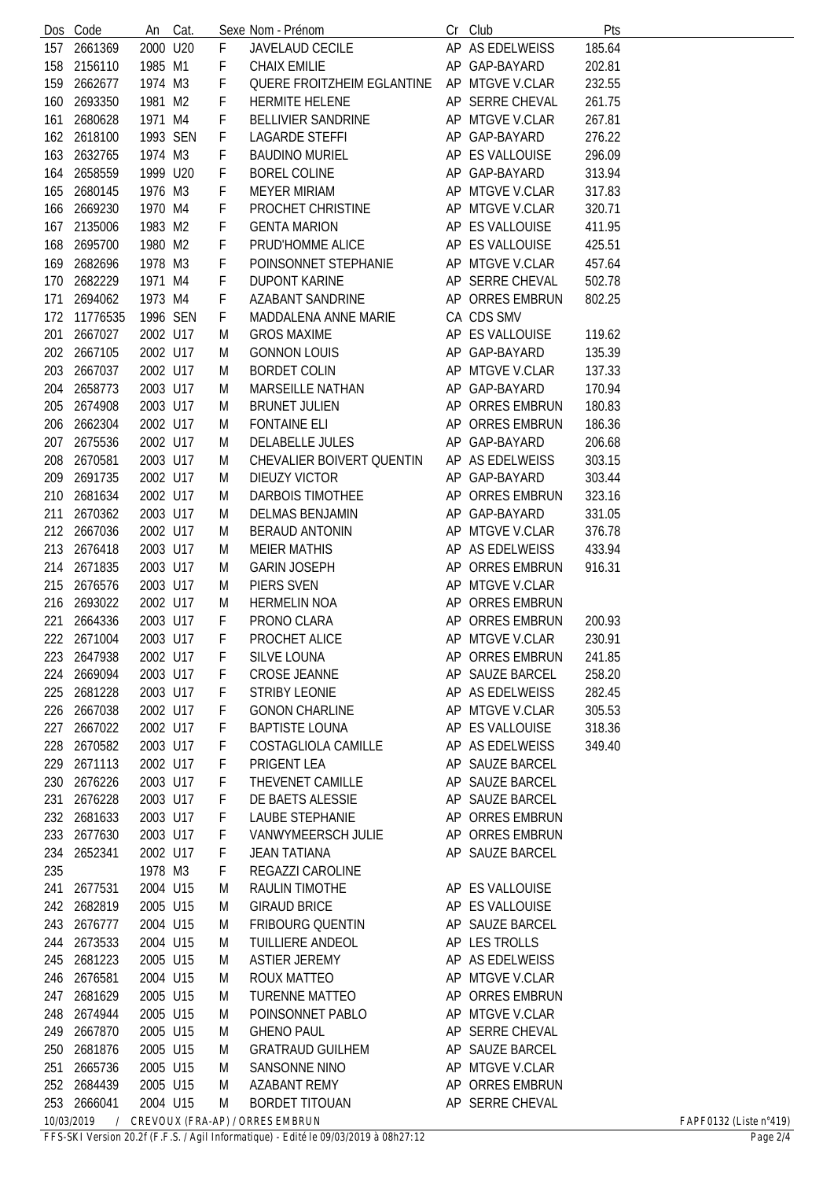|     | Dos Code                                                                                           | An       | Cat. |   | Sexe Nom - Prénom          | Cr | Club                | Pts    |  |  |
|-----|----------------------------------------------------------------------------------------------------|----------|------|---|----------------------------|----|---------------------|--------|--|--|
| 157 | 2661369                                                                                            | 2000 U20 |      | F | <b>JAVELAUD CECILE</b>     |    | AP AS EDELWEISS     | 185.64 |  |  |
| 158 | 2156110                                                                                            | 1985 M1  |      | F | <b>CHAIX EMILIE</b>        |    | AP GAP-BAYARD       | 202.81 |  |  |
| 159 | 2662677                                                                                            | 1974 M3  |      | F | QUERE FROITZHEIM EGLANTINE |    | AP MTGVE V.CLAR     | 232.55 |  |  |
| 160 | 2693350                                                                                            | 1981 M2  |      | F | <b>HERMITE HELENE</b>      |    | AP SERRE CHEVAL     | 261.75 |  |  |
| 161 | 2680628                                                                                            | 1971 M4  |      | F | <b>BELLIVIER SANDRINE</b>  |    | AP MTGVE V.CLAR     | 267.81 |  |  |
| 162 | 2618100                                                                                            | 1993 SEN |      | F | <b>LAGARDE STEFFI</b>      |    | AP GAP-BAYARD       | 276.22 |  |  |
| 163 | 2632765                                                                                            | 1974 M3  |      | F | <b>BAUDINO MURIEL</b>      |    | AP ES VALLOUISE     | 296.09 |  |  |
| 164 | 2658559                                                                                            | 1999 U20 |      | F | <b>BOREL COLINE</b>        |    | AP GAP-BAYARD       | 313.94 |  |  |
| 165 | 2680145                                                                                            | 1976 M3  |      | F | <b>MEYER MIRIAM</b>        |    | AP MTGVE V.CLAR     | 317.83 |  |  |
| 166 | 2669230                                                                                            | 1970 M4  |      | F | PROCHET CHRISTINE          |    | AP MTGVE V.CLAR     | 320.71 |  |  |
| 167 | 2135006                                                                                            | 1983 M2  |      | F | <b>GENTA MARION</b>        |    | AP ES VALLOUISE     | 411.95 |  |  |
| 168 | 2695700                                                                                            | 1980 M2  |      | F | PRUD'HOMME ALICE           |    | AP ES VALLOUISE     | 425.51 |  |  |
|     |                                                                                                    |          |      |   |                            |    |                     |        |  |  |
| 169 | 2682696                                                                                            | 1978 M3  |      | F | POINSONNET STEPHANIE       |    | AP MTGVE V.CLAR     | 457.64 |  |  |
| 170 | 2682229                                                                                            | 1971 M4  |      | F | <b>DUPONT KARINE</b>       |    | AP SERRE CHEVAL     | 502.78 |  |  |
| 171 | 2694062                                                                                            | 1973 M4  |      | F | <b>AZABANT SANDRINE</b>    |    | AP ORRES EMBRUN     | 802.25 |  |  |
| 172 | 11776535                                                                                           | 1996 SEN |      | F | MADDALENA ANNE MARIE       |    | CA CDS SMV          |        |  |  |
| 201 | 2667027                                                                                            | 2002 U17 |      | M | <b>GROS MAXIME</b>         |    | AP ES VALLOUISE     | 119.62 |  |  |
| 202 | 2667105                                                                                            | 2002 U17 |      | M | <b>GONNON LOUIS</b>        |    | AP GAP-BAYARD       | 135.39 |  |  |
| 203 | 2667037                                                                                            | 2002 U17 |      | M | <b>BORDET COLIN</b>        |    | AP MTGVE V.CLAR     | 137.33 |  |  |
| 204 | 2658773                                                                                            | 2003 U17 |      | M | <b>MARSEILLE NATHAN</b>    |    | AP GAP-BAYARD       | 170.94 |  |  |
| 205 | 2674908                                                                                            | 2003 U17 |      | M | <b>BRUNET JULIEN</b>       |    | AP ORRES EMBRUN     | 180.83 |  |  |
| 206 | 2662304                                                                                            | 2002 U17 |      | M | <b>FONTAINE ELI</b>        |    | AP ORRES EMBRUN     | 186.36 |  |  |
| 207 | 2675536                                                                                            | 2002 U17 |      | M | <b>DELABELLE JULES</b>     |    | AP GAP-BAYARD       | 206.68 |  |  |
| 208 | 2670581                                                                                            | 2003 U17 |      | M | CHEVALIER BOIVERT QUENTIN  |    | AP AS EDELWEISS     | 303.15 |  |  |
| 209 | 2691735                                                                                            | 2002 U17 |      | M | <b>DIEUZY VICTOR</b>       |    | AP GAP-BAYARD       | 303.44 |  |  |
| 210 | 2681634                                                                                            | 2002 U17 |      | M | DARBOIS TIMOTHEE           |    | AP ORRES EMBRUN     | 323.16 |  |  |
| 211 | 2670362                                                                                            | 2003 U17 |      | M | <b>DELMAS BENJAMIN</b>     |    | AP GAP-BAYARD       | 331.05 |  |  |
| 212 | 2667036                                                                                            | 2002 U17 |      | M | <b>BERAUD ANTONIN</b>      |    | AP MTGVE V.CLAR     | 376.78 |  |  |
| 213 | 2676418                                                                                            | 2003 U17 |      | M | <b>MEIER MATHIS</b>        |    | AP AS EDELWEISS     | 433.94 |  |  |
| 214 | 2671835                                                                                            | 2003 U17 |      | M | <b>GARIN JOSEPH</b>        | AP | <b>ORRES EMBRUN</b> | 916.31 |  |  |
| 215 | 2676576                                                                                            | 2003 U17 |      | M | PIERS SVEN                 |    | AP MTGVE V.CLAR     |        |  |  |
| 216 | 2693022                                                                                            | 2002 U17 |      | M | <b>HERMELIN NOA</b>        |    | AP ORRES EMBRUN     |        |  |  |
| 221 | 2664336                                                                                            | 2003 U17 |      | F | PRONO CLARA                | AP | <b>ORRES EMBRUN</b> | 200.93 |  |  |
|     | 222 2671004                                                                                        | 2003 U17 |      | F | PROCHET ALICE              |    | AP MTGVE V.CLAR     | 230.91 |  |  |
| 223 | 2647938                                                                                            | 2002 U17 |      | F | <b>SILVE LOUNA</b>         |    | AP ORRES EMBRUN     | 241.85 |  |  |
|     | 224 2669094                                                                                        | 2003 U17 |      | F | <b>CROSE JEANNE</b>        |    | AP SAUZE BARCEL     | 258.20 |  |  |
| 225 | 2681228                                                                                            | 2003 U17 |      | F | <b>STRIBY LEONIE</b>       |    | AP AS EDELWEISS     | 282.45 |  |  |
|     | 226 2667038                                                                                        | 2002 U17 |      | F | <b>GONON CHARLINE</b>      |    | AP MTGVE V.CLAR     | 305.53 |  |  |
|     | 227 2667022                                                                                        | 2002 U17 |      | F | <b>BAPTISTE LOUNA</b>      |    | AP ES VALLOUISE     | 318.36 |  |  |
|     | 228 2670582                                                                                        | 2003 U17 |      | F | COSTAGLIOLA CAMILLE        |    | AP AS EDELWEISS     | 349.40 |  |  |
|     | 229 2671113                                                                                        | 2002 U17 |      | F | PRIGENT LEA                |    | AP SAUZE BARCEL     |        |  |  |
|     | 2676226                                                                                            | 2003 U17 |      |   | THEVENET CAMILLE           |    |                     |        |  |  |
| 230 |                                                                                                    |          |      | F |                            |    | AP SAUZE BARCEL     |        |  |  |
| 231 | 2676228                                                                                            | 2003 U17 |      | F | DE BAETS ALESSIE           |    | AP SAUZE BARCEL     |        |  |  |
| 232 | 2681633                                                                                            | 2003 U17 |      | F | LAUBE STEPHANIE            |    | AP ORRES EMBRUN     |        |  |  |
|     | 233 2677630                                                                                        | 2003 U17 |      | F | VANWYMEERSCH JULIE         |    | AP ORRES EMBRUN     |        |  |  |
|     | 234 2652341                                                                                        | 2002 U17 |      | F | <b>JEAN TATIANA</b>        |    | AP SAUZE BARCEL     |        |  |  |
| 235 |                                                                                                    | 1978 M3  |      | F | REGAZZI CAROLINE           |    |                     |        |  |  |
| 241 | 2677531                                                                                            | 2004 U15 |      | M | RAULIN TIMOTHE             |    | AP ES VALLOUISE     |        |  |  |
|     | 242 2682819                                                                                        | 2005 U15 |      | M | <b>GIRAUD BRICE</b>        |    | AP ES VALLOUISE     |        |  |  |
| 243 | 2676777                                                                                            | 2004 U15 |      | M | <b>FRIBOURG QUENTIN</b>    |    | AP SAUZE BARCEL     |        |  |  |
| 244 | 2673533                                                                                            | 2004 U15 |      | M | TUILLIERE ANDEOL           |    | AP LES TROLLS       |        |  |  |
| 245 | 2681223                                                                                            | 2005 U15 |      | M | <b>ASTIER JEREMY</b>       |    | AP AS EDELWEISS     |        |  |  |
|     | 246 2676581                                                                                        | 2004 U15 |      | M | ROUX MATTEO                |    | AP MTGVE V.CLAR     |        |  |  |
|     | 247 2681629                                                                                        | 2005 U15 |      | M | <b>TURENNE MATTEO</b>      |    | AP ORRES EMBRUN     |        |  |  |
|     | 248 2674944                                                                                        | 2005 U15 |      | M | POINSONNET PABLO           |    | AP MTGVE V.CLAR     |        |  |  |
|     | 249 2667870                                                                                        | 2005 U15 |      | M | <b>GHENO PAUL</b>          |    | AP SERRE CHEVAL     |        |  |  |
| 250 | 2681876                                                                                            | 2005 U15 |      | M | <b>GRATRAUD GUILHEM</b>    |    | AP SAUZE BARCEL     |        |  |  |
| 251 | 2665736                                                                                            | 2005 U15 |      | M | SANSONNE NINO              |    | AP MTGVE V.CLAR     |        |  |  |
|     | 252 2684439                                                                                        | 2005 U15 |      | M | <b>AZABANT REMY</b>        |    | AP ORRES EMBRUN     |        |  |  |
|     | 253 2666041                                                                                        | 2004 U15 |      | M | <b>BORDET TITOUAN</b>      |    | AP SERRE CHEVAL     |        |  |  |
|     | 10/03/2019<br>CREVOUX (FRA-AP) / ORRES EMBRUN<br>FAPF0132 (Liste $n^{\circ}419$ )<br>$\frac{1}{2}$ |          |      |   |                            |    |                     |        |  |  |

*FFS-SKI Version 20.2f (F.F.S. / Agil Informatique) - Edité le 09/03/2019 à 08h27:12 Page 2/4*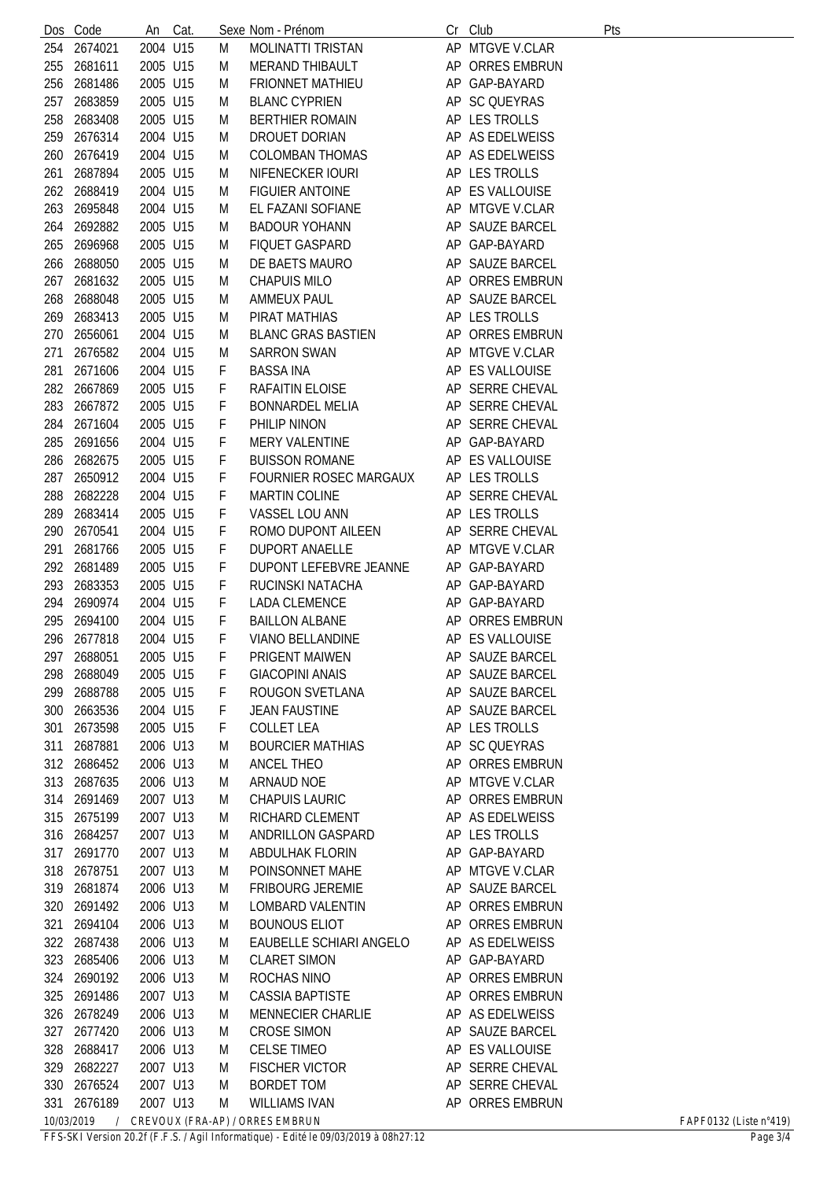|            | Dos Code               | An                   | Cat. |        | Sexe Nom - Prénom                                | Cr | Club                               | Pts                              |
|------------|------------------------|----------------------|------|--------|--------------------------------------------------|----|------------------------------------|----------------------------------|
| 254        | 2674021                | 2004 U15             |      | M      | <b>MOLINATTI TRISTAN</b>                         |    | AP MTGVE V.CLAR                    |                                  |
| 255        | 2681611                | 2005 U15             |      | M      | <b>MERAND THIBAULT</b>                           |    | AP ORRES EMBRUN                    |                                  |
| 256        | 2681486                | 2005 U15             |      | M      | <b>FRIONNET MATHIEU</b>                          |    | AP GAP-BAYARD                      |                                  |
| 257        | 2683859                | 2005 U15             |      | M      | <b>BLANC CYPRIEN</b>                             |    | AP SC QUEYRAS                      |                                  |
| 258        | 2683408                | 2005 U15             |      | M      | <b>BERTHIER ROMAIN</b>                           |    | AP LES TROLLS                      |                                  |
| 259        | 2676314                | 2004 U15             |      | M      | DROUET DORIAN                                    |    | AP AS EDELWEISS                    |                                  |
| 260        | 2676419                | 2004 U15             |      | M      | <b>COLOMBAN THOMAS</b>                           |    | AP AS EDELWEISS                    |                                  |
| 261        | 2687894                | 2005 U15             |      | M      | NIFENECKER IOURI                                 |    | AP LES TROLLS                      |                                  |
|            | 262 2688419            | 2004 U15             |      | M      | <b>FIGUIER ANTOINE</b>                           |    | AP ES VALLOUISE                    |                                  |
| 263        | 2695848                | 2004 U15             |      | M      | EL FAZANI SOFIANE                                |    | AP MTGVE V.CLAR                    |                                  |
|            | 264 2692882            | 2005 U15             |      | M      | <b>BADOUR YOHANN</b>                             |    | AP SAUZE BARCEL                    |                                  |
| 265        | 2696968                | 2005 U15             |      | M      | <b>FIQUET GASPARD</b>                            |    | AP GAP-BAYARD                      |                                  |
| 266        | 2688050                | 2005 U15             |      | M      | DE BAETS MAURO                                   |    | AP SAUZE BARCEL                    |                                  |
| 267        | 2681632                | 2005 U15             |      | M      | <b>CHAPUIS MILO</b>                              |    | AP ORRES EMBRUN                    |                                  |
| 268        | 2688048                | 2005 U15             |      | M      | <b>AMMEUX PAUL</b>                               |    | AP SAUZE BARCEL                    |                                  |
| 269        | 2683413                | 2005 U15             |      | M      | PIRAT MATHIAS                                    |    | AP LES TROLLS                      |                                  |
| 270        | 2656061                | 2004 U15             |      | M      | <b>BLANC GRAS BASTIEN</b>                        |    | AP ORRES EMBRUN                    |                                  |
| 271        | 2676582                | 2004 U15             |      | M      | <b>SARRON SWAN</b>                               |    | AP MTGVE V.CLAR                    |                                  |
| 281        | 2671606                | 2004 U15             |      | F      | <b>BASSA INA</b>                                 |    | AP ES VALLOUISE                    |                                  |
|            | 282 2667869            | 2005 U15             |      | F      | <b>RAFAITIN ELOISE</b>                           |    | AP SERRE CHEVAL                    |                                  |
| 283        | 2667872                | 2005 U15             |      | F      | <b>BONNARDEL MELIA</b>                           |    | AP SERRE CHEVAL                    |                                  |
| 284        | 2671604                | 2005 U15             |      | F      | PHILIP NINON                                     |    | AP SERRE CHEVAL                    |                                  |
| 285        | 2691656                | 2004 U15             |      | F      | <b>MERY VALENTINE</b>                            |    | AP GAP-BAYARD                      |                                  |
| 286        | 2682675                | 2005 U15             |      | F      | <b>BUISSON ROMANE</b>                            |    | AP ES VALLOUISE                    |                                  |
| 287        | 2650912                | 2004 U15             |      | F      | <b>FOURNIER ROSEC MARGAUX</b>                    |    | AP LES TROLLS                      |                                  |
| 288        | 2682228                | 2004 U15             |      | F      | MARTIN COLINE                                    |    | AP SERRE CHEVAL                    |                                  |
| 289        | 2683414                | 2005 U15             |      | F      | VASSEL LOU ANN                                   |    | AP LES TROLLS                      |                                  |
| 290        | 2670541                | 2004 U15             |      | F      | ROMO DUPONT AILEEN                               |    | AP SERRE CHEVAL                    |                                  |
| 291        | 2681766                | 2005 U15             |      | F      | <b>DUPORT ANAELLE</b>                            |    | AP MTGVE V.CLAR                    |                                  |
|            | 292 2681489            | 2005 U15             |      | F      | <b>DUPONT LEFEBVRE JEANNE</b>                    |    | AP GAP-BAYARD                      |                                  |
| 293        | 2683353                | 2005 U15             |      | F      | RUCINSKI NATACHA                                 |    | AP GAP-BAYARD                      |                                  |
| 294        | 2690974                | 2004 U15             |      | F      | LADA CLEMENCE                                    |    | AP GAP-BAYARD                      |                                  |
| 295        | 2694100<br>296 2677818 | 2004 U15             |      | F      | <b>BAILLON ALBANE</b><br><b>VIANO BELLANDINE</b> |    | AP ORRES EMBRUN                    |                                  |
|            | 2688051                | 2004 U15             |      | F      | PRIGENT MAIWEN                                   |    | AP ES VALLOUISE<br>AP SAUZE BARCEL |                                  |
| 297<br>298 | 2688049                | 2005 U15<br>2005 U15 |      | F<br>F | <b>GIACOPINI ANAIS</b>                           |    | AP SAUZE BARCEL                    |                                  |
| 299        | 2688788                | 2005 U15             |      | F      | ROUGON SVETLANA                                  |    | AP SAUZE BARCEL                    |                                  |
| 300        | 2663536                | 2004 U15             |      | F      | <b>JEAN FAUSTINE</b>                             |    | AP SAUZE BARCEL                    |                                  |
| 301        | 2673598                | 2005 U15             |      | F      | <b>COLLET LEA</b>                                |    | AP LES TROLLS                      |                                  |
| 311        | 2687881                | 2006 U13             |      | M      | <b>BOURCIER MATHIAS</b>                          |    | AP SC QUEYRAS                      |                                  |
|            | 312 2686452            | 2006 U13             |      | M      | ANCEL THEO                                       |    | AP ORRES EMBRUN                    |                                  |
| 313        | 2687635                | 2006 U13             |      | M      | ARNAUD NOE                                       |    | AP MTGVE V.CLAR                    |                                  |
| 314        | 2691469                | 2007 U13             |      | M      | <b>CHAPUIS LAURIC</b>                            |    | AP ORRES EMBRUN                    |                                  |
|            | 315 2675199            | 2007 U13             |      | M      | RICHARD CLEMENT                                  |    | AP AS EDELWEISS                    |                                  |
|            | 316 2684257            | 2007 U13             |      | M      | ANDRILLON GASPARD                                |    | AP LES TROLLS                      |                                  |
| 317        | 2691770                | 2007 U13             |      | M      | ABDULHAK FLORIN                                  |    | AP GAP-BAYARD                      |                                  |
| 318        | 2678751                | 2007 U13             |      | M      | POINSONNET MAHE                                  |    | AP MTGVE V.CLAR                    |                                  |
| 319        | 2681874                | 2006 U13             |      | M      | <b>FRIBOURG JEREMIE</b>                          |    | AP SAUZE BARCEL                    |                                  |
|            | 320 2691492            | 2006 U13             |      | M      | LOMBARD VALENTIN                                 |    | AP ORRES EMBRUN                    |                                  |
| 321        | 2694104                | 2006 U13             |      | M      | <b>BOUNOUS ELIOT</b>                             |    | AP ORRES EMBRUN                    |                                  |
|            | 322 2687438            | 2006 U13             |      | M      | EAUBELLE SCHIARI ANGELO                          |    | AP AS EDELWEISS                    |                                  |
|            | 323 2685406            | 2006 U13             |      | M      | <b>CLARET SIMON</b>                              |    | AP GAP-BAYARD                      |                                  |
|            | 324 2690192            | 2006 U13             |      | M      | ROCHAS NINO                                      |    | AP ORRES EMBRUN                    |                                  |
|            | 325 2691486            | 2007 U13             |      | M      | <b>CASSIA BAPTISTE</b>                           |    | AP ORRES EMBRUN                    |                                  |
|            | 326 2678249            | 2006 U13             |      | M      | <b>MENNECIER CHARLIE</b>                         |    | AP AS EDELWEISS                    |                                  |
| 327        | 2677420                | 2006 U13             |      | M      | <b>CROSE SIMON</b>                               |    | AP SAUZE BARCEL                    |                                  |
| 328        | 2688417                | 2006 U13             |      | M      | <b>CELSE TIMEO</b>                               |    | AP ES VALLOUISE                    |                                  |
| 329        | 2682227                | 2007 U13             |      | M      | <b>FISCHER VICTOR</b>                            |    | AP SERRE CHEVAL                    |                                  |
|            | 330 2676524            | 2007 U13             |      | M      | <b>BORDET TOM</b>                                |    | AP SERRE CHEVAL                    |                                  |
| 331        | 2676189                | 2007 U13             |      | M      | <b>WILLIAMS IVAN</b>                             |    | AP ORRES EMBRUN                    |                                  |
| 10/03/2019 | $\sqrt{2}$             |                      |      |        | CREVOUX (FRA-AP) / ORRES EMBRUN                  |    |                                    | FAPF0132 (Liste $n^{\circ}419$ ) |